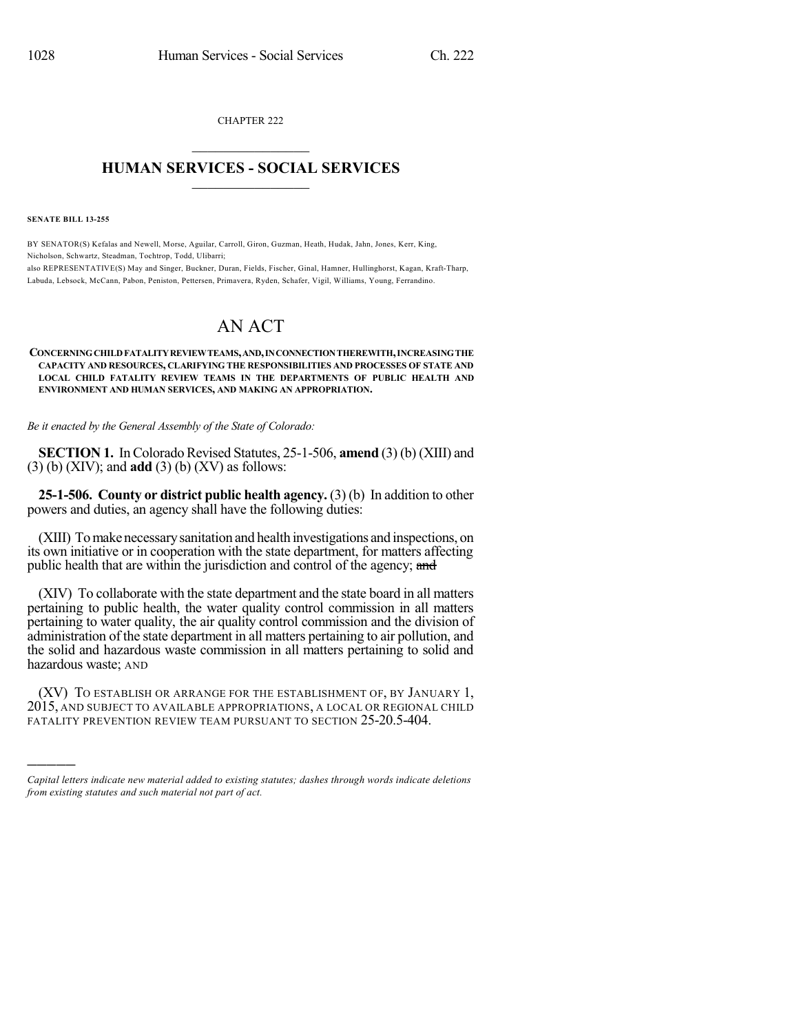CHAPTER 222  $\mathcal{L}_\text{max}$  . The set of the set of the set of the set of the set of the set of the set of the set of the set of the set of the set of the set of the set of the set of the set of the set of the set of the set of the set

## **HUMAN SERVICES - SOCIAL SERVICES**  $\frac{1}{2}$  ,  $\frac{1}{2}$  ,  $\frac{1}{2}$  ,  $\frac{1}{2}$  ,  $\frac{1}{2}$  ,  $\frac{1}{2}$

**SENATE BILL 13-255**

)))))

BY SENATOR(S) Kefalas and Newell, Morse, Aguilar, Carroll, Giron, Guzman, Heath, Hudak, Jahn, Jones, Kerr, King, Nicholson, Schwartz, Steadman, Tochtrop, Todd, Ulibarri; also REPRESENTATIVE(S) May and Singer, Buckner, Duran, Fields, Fischer, Ginal, Hamner, Hullinghorst, Kagan, Kraft-Tharp, Labuda, Lebsock, McCann, Pabon, Peniston, Pettersen, Primavera, Ryden, Schafer, Vigil, Williams, Young, Ferrandino.

## AN ACT

## **CONCERNINGCHILDFATALITYREVIEWTEAMS,AND,INCONNECTIONTHEREWITH,INCREASINGTHE CAPACITY AND RESOURCES, CLARIFYING THE RESPONSIBILITIES AND PROCESSES OF STATE AND LOCAL CHILD FATALITY REVIEW TEAMS IN THE DEPARTMENTS OF PUBLIC HEALTH AND ENVIRONMENT AND HUMAN SERVICES, AND MAKING AN APPROPRIATION.**

*Be it enacted by the General Assembly of the State of Colorado:*

**SECTION 1.** In Colorado Revised Statutes, 25-1-506, **amend** (3) (b) (XIII) and (3) (b) (XIV); and **add** (3) (b) (XV) as follows:

**25-1-506. County or district public health agency.** (3) (b) In addition to other powers and duties, an agency shall have the following duties:

(XIII) Tomake necessarysanitation and health investigations and inspections, on its own initiative or in cooperation with the state department, for matters affecting public health that are within the jurisdiction and control of the agency; and

(XIV) To collaborate with the state department and the state board in all matters pertaining to public health, the water quality control commission in all matters pertaining to water quality, the air quality control commission and the division of administration of the state department in all matters pertaining to air pollution, and the solid and hazardous waste commission in all matters pertaining to solid and hazardous waste; AND

(XV) TO ESTABLISH OR ARRANGE FOR THE ESTABLISHMENT OF, BY JANUARY 1, 2015, AND SUBJECT TO AVAILABLE APPROPRIATIONS, A LOCAL OR REGIONAL CHILD FATALITY PREVENTION REVIEW TEAM PURSUANT TO SECTION 25-20.5-404.

*Capital letters indicate new material added to existing statutes; dashes through words indicate deletions from existing statutes and such material not part of act.*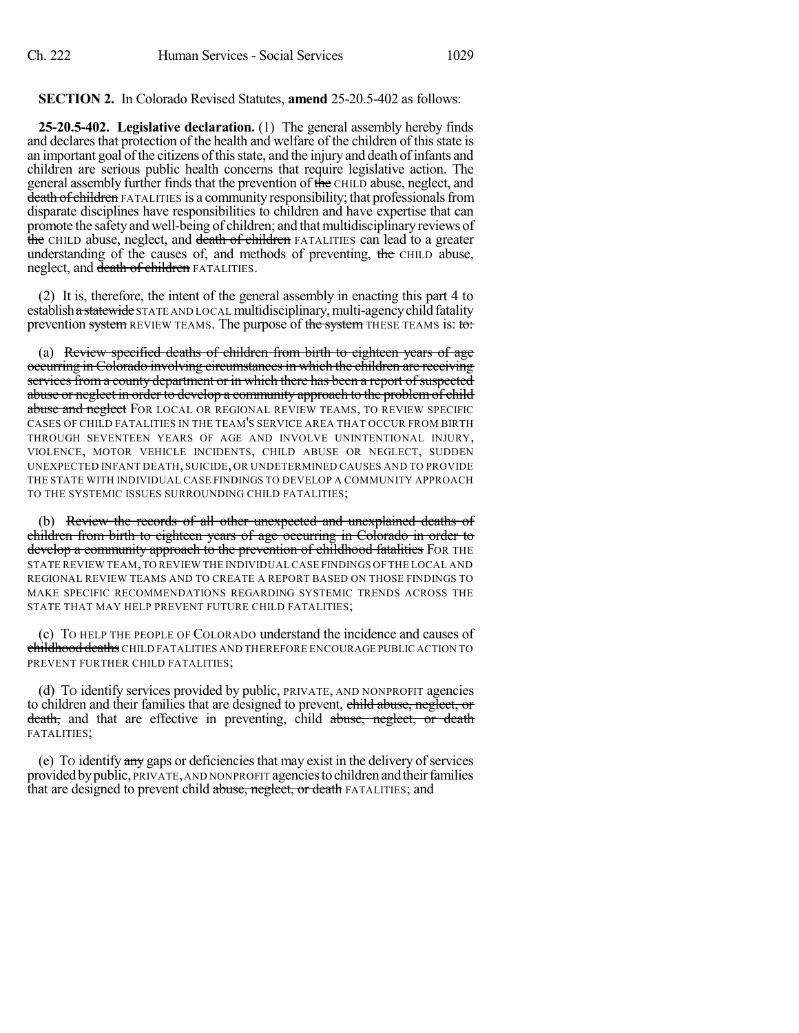## **SECTION 2.** In Colorado Revised Statutes, **amend** 25-20.5-402 as follows:

**25-20.5-402. Legislative declaration.** (1) The general assembly hereby finds and declares that protection of the health and welfare of the children of this state is an important goal of the citizens of this state, and the injury and death of infants and children are serious public health concerns that require legislative action. The general assembly further finds that the prevention of the CHILD abuse, neglect, and death of children FATALITIES is a community responsibility; that professionals from disparate disciplines have responsibilities to children and have expertise that can promote the safety and well-being of children; and that multidisciplinary reviews of the CHILD abuse, neglect, and death of children FATALITIES can lead to a greater understanding of the causes of, and methods of preventing, the CHILD abuse, neglect, and death of children FATALITIES.

(2) It is, therefore, the intent of the general assembly in enacting this part 4 to establish a statewide STATE AND LOCAL multidisciplinary, multi-agency child fatality prevention system REVIEW TEAMS. The purpose of the system THESE TEAMS is: to:

(a) Review specified deaths of children from birth to eighteen years of age occurring in Colorado involving circumstances in which the children are receiving services from a county department or in which there has been a report of suspected abuse or neglect in order to develop a community approach to the problem of child abuse and neglect FOR LOCAL OR REGIONAL REVIEW TEAMS, TO REVIEW SPECIFIC CASES OF CHILD FATALITIES IN THE TEAM'S SERVICE AREA THAT OCCUR FROM BIRTH THROUGH SEVENTEEN YEARS OF AGE AND INVOLVE UNINTENTIONAL INJURY, VIOLENCE, MOTOR VEHICLE INCIDENTS, CHILD ABUSE OR NEGLECT, SUDDEN UNEXPECTED INFANT DEATH, SUICIDE, OR UNDETERMINED CAUSES AND TO PROVIDE THE STATE WITH INDIVIDUAL CASE FINDINGS TO DEVELOP A COMMUNITY APPROACH TO THE SYSTEMIC ISSUES SURROUNDING CHILD FATALITIES;

(b) Review the records of all other unexpected and unexplained deaths of children from birth to eighteen years of age occurring in Colorado in order to develop a community approach to the prevention of childhood fatalities FOR THE STATE REVIEW TEAM,TO REVIEW THE INDIVIDUALCASE FINDINGS OF THE LOCAL AND REGIONAL REVIEW TEAMS AND TO CREATE A REPORT BASED ON THOSE FINDINGS TO MAKE SPECIFIC RECOMMENDATIONS REGARDING SYSTEMIC TRENDS ACROSS THE STATE THAT MAY HELP PREVENT FUTURE CHILD FATALITIES;

(c) TO HELP THE PEOPLE OF COLORADO understand the incidence and causes of childhood deaths CHILD FATALITIES AND THEREFORE ENCOURAGE PUBLIC ACTION TO PREVENT FURTHER CHILD FATALITIES;

(d) TO identify services provided by public, PRIVATE, AND NONPROFIT agencies to children and their families that are designed to prevent, child abuse, neglect, or death, and that are effective in preventing, child abuse, neglect, or death FATALITIES;

(e) To identify  $\frac{day}{dx}$  gaps or deficiencies that may exist in the delivery of services provided by public, PRIVATE, AND NONPROFIT agencies to children and their families that are designed to prevent child abuse, neglect, or death FATALITIES; and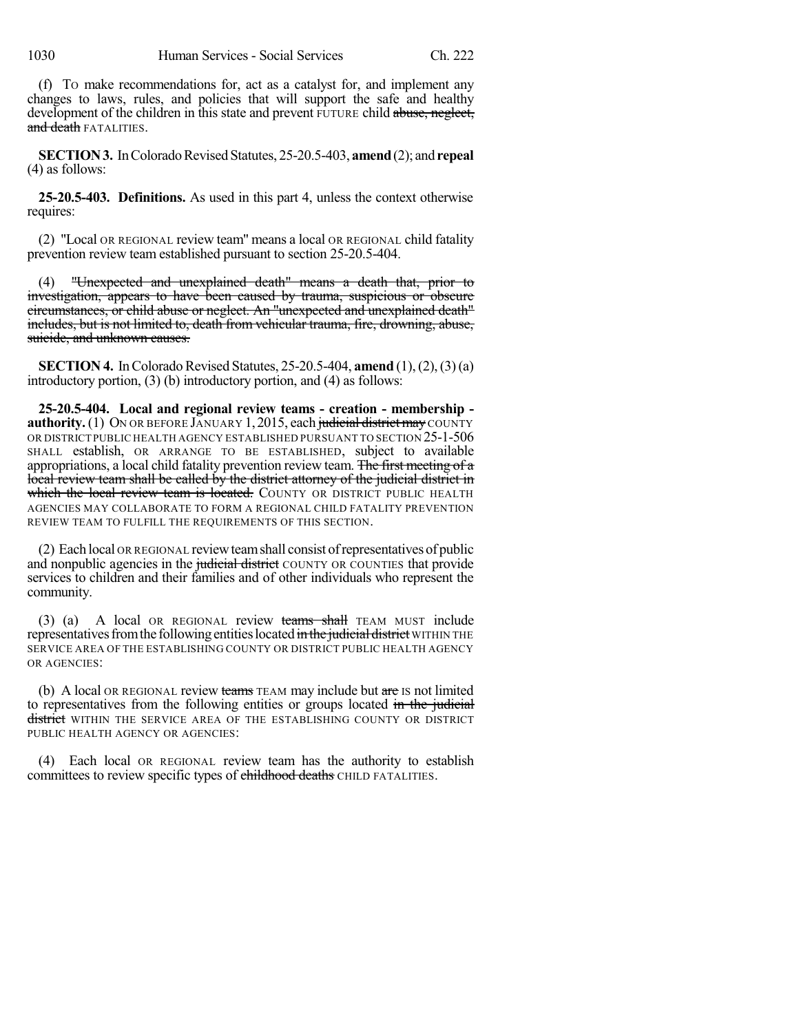(f) TO make recommendations for, act as a catalyst for, and implement any changes to laws, rules, and policies that will support the safe and healthy development of the children in this state and prevent FUTURE child abuse, neglect, and death **FATALITIES**.

**SECTION 3.** In Colorado Revised Statutes, 25-20.5-403, **amend** (2); and **repeal** (4) as follows:

**25-20.5-403. Definitions.** As used in this part 4, unless the context otherwise requires:

(2) "Local OR REGIONAL review team" means a local OR REGIONAL child fatality prevention review team established pursuant to section 25-20.5-404.

(4) "Unexpected and unexplained death" means a death that, prior to investigation, appears to have been caused by trauma, suspicious or obscure circumstances, or child abuse or neglect. An "unexpected and unexplained death" includes, but is not limited to, death from vehicular trauma, fire, drowning, abuse, suicide, and unknown causes.

**SECTION 4.** In Colorado Revised Statutes, 25-20.5-404, **amend** (1), (2), (3) (a) introductory portion, (3) (b) introductory portion, and (4) as follows:

**25-20.5-404. Local and regional review teams - creation - membership authority.** (1) ON OR BEFORE JANUARY 1, 2015, each judicial district may COUNTY OR DISTRICT PUBLIC HEALTH AGENCY ESTABLISHED PURSUANT TO SECTION 25-1-506 SHALL establish, OR ARRANGE TO BE ESTABLISHED, subject to available appropriations, a local child fatality prevention review team. The first meeting of a local review team shall be called by the district attorney of the judicial district in which the local review team is located. COUNTY OR DISTRICT PUBLIC HEALTH AGENCIES MAY COLLABORATE TO FORM A REGIONAL CHILD FATALITY PREVENTION REVIEW TEAM TO FULFILL THE REQUIREMENTS OF THIS SECTION.

(2) Each local OR REGIONAL reviewteamshall consist ofrepresentatives of public and nonpublic agencies in the judicial district COUNTY OR COUNTIES that provide services to children and their families and of other individuals who represent the community.

(3) (a) A local OR REGIONAL review teams shall TEAM MUST include representatives from the following entities located in the judicial district WITHIN THE SERVICE AREA OF THE ESTABLISHING COUNTY OR DISTRICT PUBLIC HEALTH AGENCY OR AGENCIES:

(b) A local OR REGIONAL review teams TEAM may include but are IS not limited to representatives from the following entities or groups located in the judicial district WITHIN THE SERVICE AREA OF THE ESTABLISHING COUNTY OR DISTRICT PUBLIC HEALTH AGENCY OR AGENCIES:

(4) Each local OR REGIONAL review team has the authority to establish committees to review specific types of childhood deaths CHILD FATALITIES.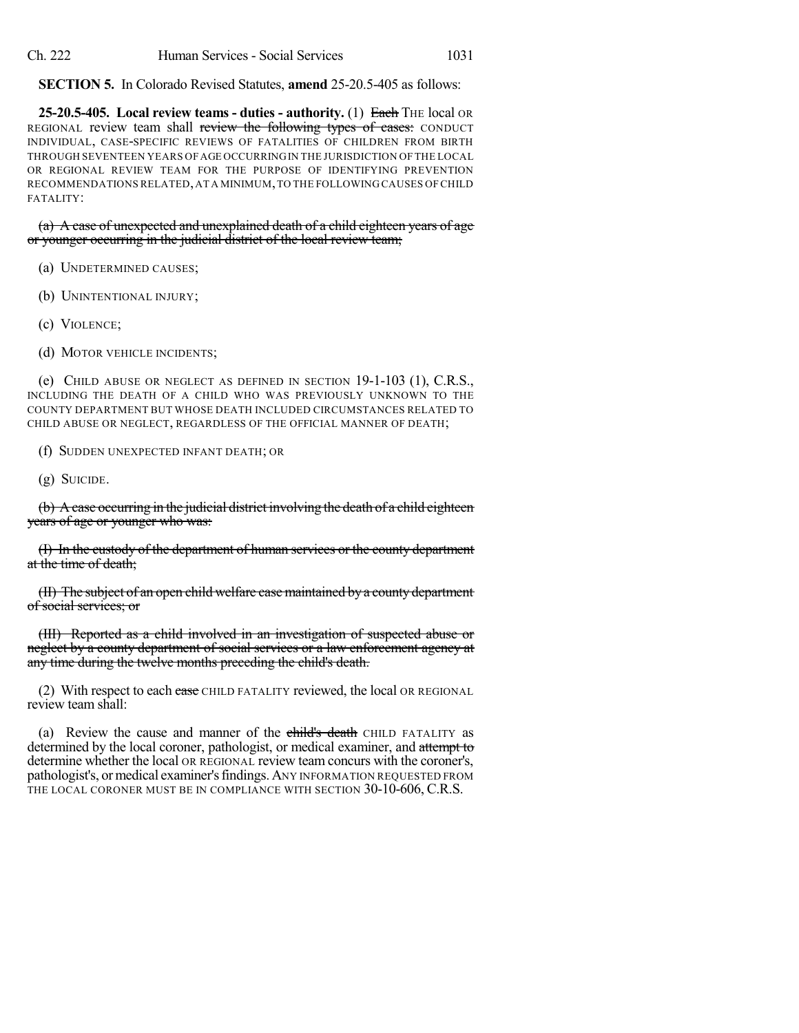**SECTION 5.** In Colorado Revised Statutes, **amend** 25-20.5-405 as follows:

**25-20.5-405. Local review teams - duties - authority.** (1) Each THE local OR REGIONAL review team shall review the following types of cases: CONDUCT INDIVIDUAL, CASE-SPECIFIC REVIEWS OF FATALITIES OF CHILDREN FROM BIRTH THROUGH SEVENTEEN YEARS OF AGE OCCURRINGIN THE JURISDICTION OF THE LOCAL OR REGIONAL REVIEW TEAM FOR THE PURPOSE OF IDENTIFYING PREVENTION RECOMMENDATIONS RELATED,AT A MINIMUM,TO THE FOLLOWING CAUSES OF CHILD FATALITY:

(a) A case of unexpected and unexplained death of a child eighteen years of age or younger occurring in the judicial district of the local review team;

- (a) UNDETERMINED CAUSES;
- (b) UNINTENTIONAL INJURY;
- (c) VIOLENCE;
- (d) MOTOR VEHICLE INCIDENTS;

(e) CHILD ABUSE OR NEGLECT AS DEFINED IN SECTION 19-1-103 (1), C.R.S., INCLUDING THE DEATH OF A CHILD WHO WAS PREVIOUSLY UNKNOWN TO THE COUNTY DEPARTMENT BUT WHOSE DEATH INCLUDED CIRCUMSTANCES RELATED TO CHILD ABUSE OR NEGLECT, REGARDLESS OF THE OFFICIAL MANNER OF DEATH;

(f) SUDDEN UNEXPECTED INFANT DEATH; OR

(g) SUICIDE.

(b) A case occurring in the judicial district involving the death of a child eighteen years of age or younger who was:

(I) In the custody of the department of human services or the county department at the time of death;

(II) The subject of an open child welfare case maintained by a county department of social services; or

(III) Reported as a child involved in an investigation of suspected abuse or neglect by a county department of social services or a law enforcement agency at any time during the twelve months preceding the child's death.

(2) With respect to each ease CHILD FATALITY reviewed, the local OR REGIONAL review team shall:

(a) Review the cause and manner of the child's death CHILD FATALITY as determined by the local coroner, pathologist, or medical examiner, and attempt to determine whether the local OR REGIONAL review team concurs with the coroner's, pathologist's, or medical examiner's findings. ANY INFORMATION REQUESTED FROM THE LOCAL CORONER MUST BE IN COMPLIANCE WITH SECTION 30-10-606, C.R.S.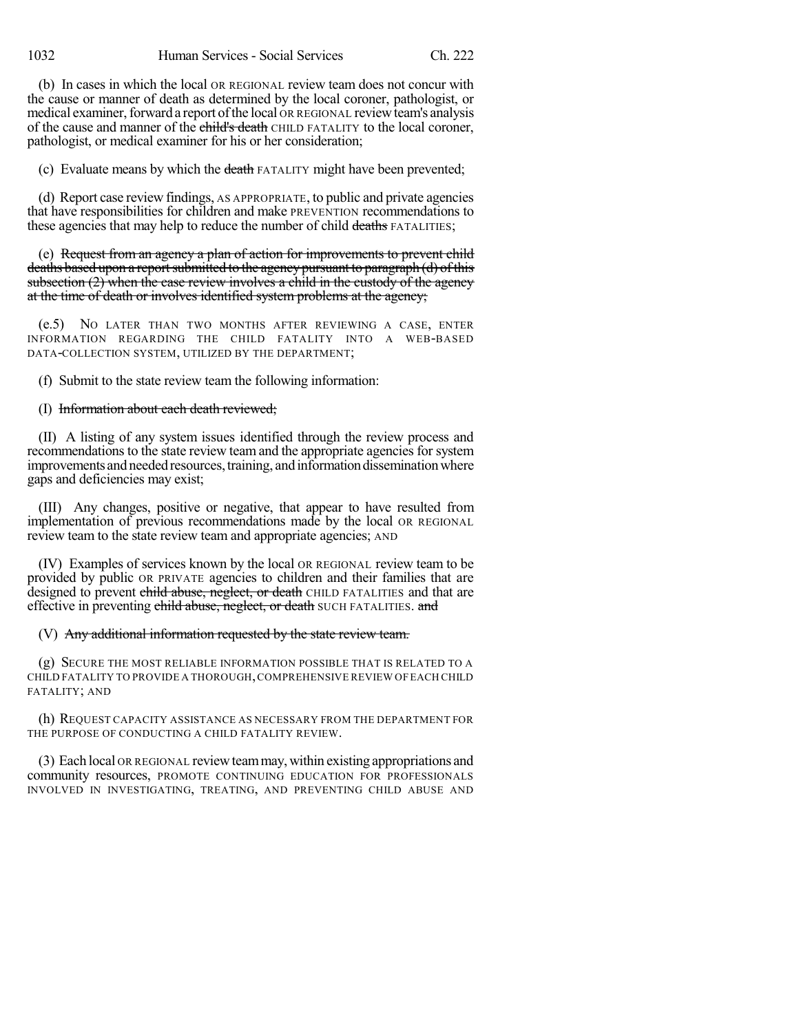(b) In cases in which the local OR REGIONAL review team does not concur with the cause or manner of death as determined by the local coroner, pathologist, or medical examiner, forward a report of the local OR REGIONAL review team's analysis of the cause and manner of the child's death CHILD FATALITY to the local coroner, pathologist, or medical examiner for his or her consideration;

(c) Evaluate means by which the death FATALITY might have been prevented;

(d) Report case review findings, AS APPROPRIATE, to public and private agencies that have responsibilities for children and make PREVENTION recommendations to these agencies that may help to reduce the number of child deaths FATALITIES;

(e) Request from an agency a plan of action for improvements to prevent child deaths based upon a report submitted to the agency pursuant to paragraph (d) of this subsection  $(2)$  when the case review involves a child in the custody of the agency at the time of death or involves identified system problems at the agency;

(e.5) NO LATER THAN TWO MONTHS AFTER REVIEWING A CASE, ENTER INFORMATION REGARDING THE CHILD FATALITY INTO A WEB-BASED DATA-COLLECTION SYSTEM, UTILIZED BY THE DEPARTMENT;

(f) Submit to the state review team the following information:

(I) Information about each death reviewed;

(II) A listing of any system issues identified through the review process and recommendations to the state review team and the appropriate agencies for system improvements and needed resources, training, and information dissemination where gaps and deficiencies may exist;

(III) Any changes, positive or negative, that appear to have resulted from implementation of previous recommendations made by the local OR REGIONAL review team to the state review team and appropriate agencies; AND

(IV) Examples of services known by the local OR REGIONAL review team to be provided by public OR PRIVATE agencies to children and their families that are designed to prevent child abuse, neglect, or death CHILD FATALITIES and that are effective in preventing child abuse, neglect, or death SUCH FATALITIES. and

(V) Any additional information requested by the state review team.

(g) SECURE THE MOST RELIABLE INFORMATION POSSIBLE THAT IS RELATED TO A CHILD FATALITY TO PROVIDE A THOROUGH,COMPREHENSIVE REVIEW OF EACH CHILD FATALITY; AND

(h) REQUEST CAPACITY ASSISTANCE AS NECESSARY FROM THE DEPARTMENT FOR THE PURPOSE OF CONDUCTING A CHILD FATALITY REVIEW.

(3) Each local OR REGIONAL reviewteammay, within existing appropriations and community resources, PROMOTE CONTINUING EDUCATION FOR PROFESSIONALS INVOLVED IN INVESTIGATING, TREATING, AND PREVENTING CHILD ABUSE AND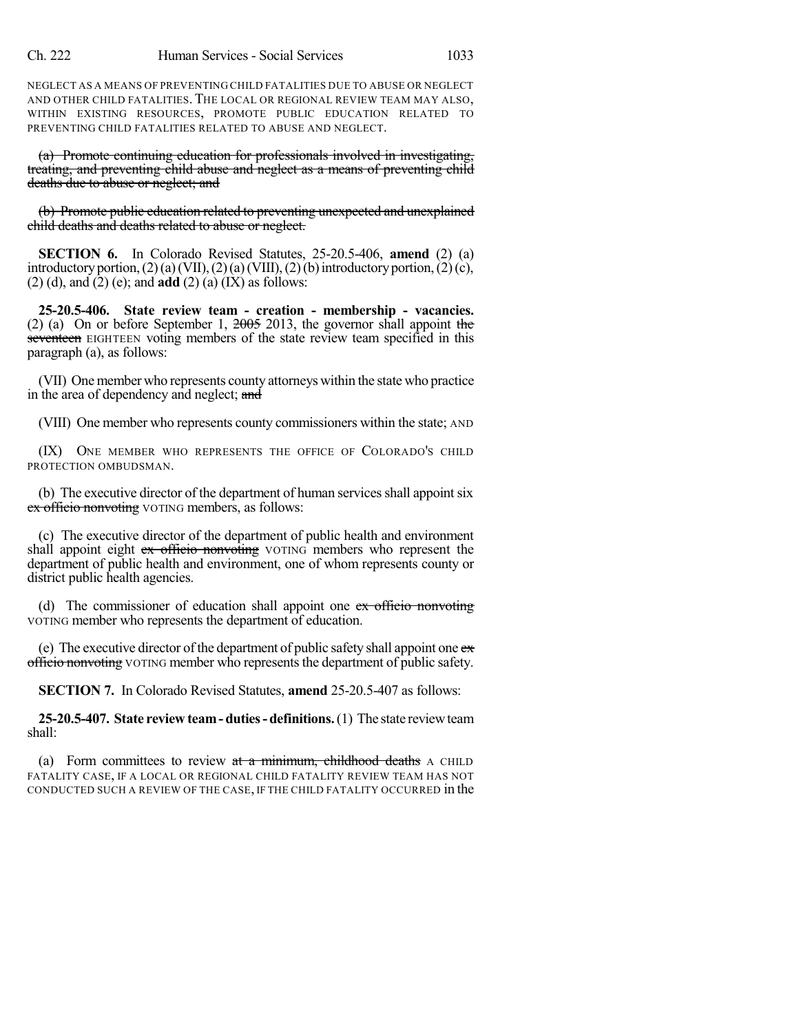NEGLECT AS A MEANS OF PREVENTING CHILD FATALITIES DUE TO ABUSE OR NEGLECT AND OTHER CHILD FATALITIES. THE LOCAL OR REGIONAL REVIEW TEAM MAY ALSO, WITHIN EXISTING RESOURCES, PROMOTE PUBLIC EDUCATION RELATED TO PREVENTING CHILD FATALITIES RELATED TO ABUSE AND NEGLECT.

(a) Promote continuing education for professionals involved in investigating, treating, and preventing child abuse and neglect as a means of preventing child deaths due to abuse or neglect; and

(b) Promote public education related to preventing unexpected and unexplained child deaths and deaths related to abuse or neglect.

**SECTION 6.** In Colorado Revised Statutes, 25-20.5-406, **amend** (2) (a) introductory portion,  $(2)$  (a) (VII),  $(2)$  (a) (VIII),  $(2)$  (b) introductory portion,  $(2)$  (c), (2) (d), and (2) (e); and **add** (2) (a) (IX) as follows:

**25-20.5-406. State review team - creation - membership - vacancies.** (2) (a) On or before September 1, 2005 2013, the governor shall appoint the seventeen EIGHTEEN voting members of the state review team specified in this paragraph (a), as follows:

(VII) One member who represents county attorneys within the state who practice in the area of dependency and neglect; and

(VIII) One member who represents county commissioners within the state; AND

(IX) ONE MEMBER WHO REPRESENTS THE OFFICE OF COLORADO'S CHILD PROTECTION OMBUDSMAN.

(b) The executive director of the department of human services shall appoint six ex officio nonvoting VOTING members, as follows:

(c) The executive director of the department of public health and environment shall appoint eight ex officio nonvoting VOTING members who represent the department of public health and environment, one of whom represents county or district public health agencies.

(d) The commissioner of education shall appoint one ex officio nonvoting VOTING member who represents the department of education.

(e) The executive director of the department of public safety shall appoint one  $e\bar{x}$ officio nonvoting VOTING member who represents the department of public safety.

**SECTION 7.** In Colorado Revised Statutes, **amend** 25-20.5-407 as follows:

**25-20.5-407. State review team- duties-definitions.**(1) The state reviewteam shall:

(a) Form committees to review  $at a$  minimum, childhood deaths A CHILD FATALITY CASE, IF A LOCAL OR REGIONAL CHILD FATALITY REVIEW TEAM HAS NOT CONDUCTED SUCH A REVIEW OF THE CASE, IF THE CHILD FATALITY OCCURRED in the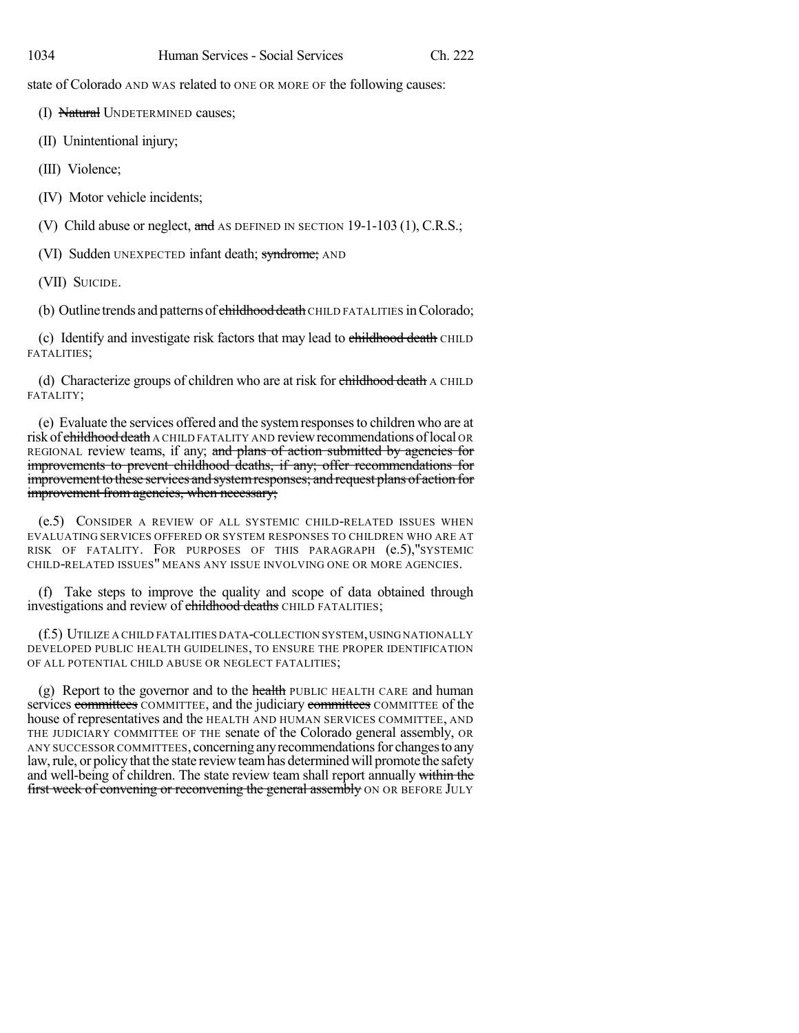state of Colorado AND WAS related to ONE OR MORE OF the following causes:

(I) Natural UNDETERMINED causes;

(II) Unintentional injury;

(III) Violence;

(IV) Motor vehicle incidents;

(V) Child abuse or neglect, and AS DEFINED IN SECTION 19-1-103 (1), C.R.S.;

(VI) Sudden UNEXPECTED infant death; syndrome; AND

(VII) SUICIDE.

(b) Outline trends and patterns of childhood death CHILD FATALITIES in Colorado;

(c) Identify and investigate risk factors that may lead to childhood death CHILD FATALITIES;

(d) Characterize groups of children who are at risk for childhood death A CHILD FATALITY;

(e) Evaluate the services offered and the systemresponsesto children who are at risk of childhood death A CHILD FATALITY AND review recommendations of local OR REGIONAL review teams, if any; and plans of action submitted by agencies for improvements to prevent childhood deaths, if any; offer recommendations for improvement to these services and systemresponses; and request plans of action for improvement from agencies, when necessary;

(e.5) CONSIDER A REVIEW OF ALL SYSTEMIC CHILD-RELATED ISSUES WHEN EVALUATING SERVICES OFFERED OR SYSTEM RESPONSES TO CHILDREN WHO ARE AT RISK OF FATALITY. FOR PURPOSES OF THIS PARAGRAPH (e.5),"SYSTEMIC CHILD-RELATED ISSUES" MEANS ANY ISSUE INVOLVING ONE OR MORE AGENCIES.

(f) Take steps to improve the quality and scope of data obtained through investigations and review of childhood deaths CHILD FATALITIES;

(f.5) UTILIZE A CHILD FATALITIES DATA-COLLECTION SYSTEM, USING NATIONALLY DEVELOPED PUBLIC HEALTH GUIDELINES, TO ENSURE THE PROPER IDENTIFICATION OF ALL POTENTIAL CHILD ABUSE OR NEGLECT FATALITIES;

(g) Report to the governor and to the health PUBLIC HEALTH CARE and human services committees COMMITTEE, and the judiciary committees COMMITTEE of the house of representatives and the HEALTH AND HUMAN SERVICES COMMITTEE, AND THE JUDICIARY COMMITTEE OF THE senate of the Colorado general assembly, OR ANY SUCCESSOR COMMITTEES, concerning any recommendations for changes to any law, rule, or policy that the state review team has determined will promote the safety and well-being of children. The state review team shall report annually within the first week of convening or reconvening the general assembly ON OR BEFORE JULY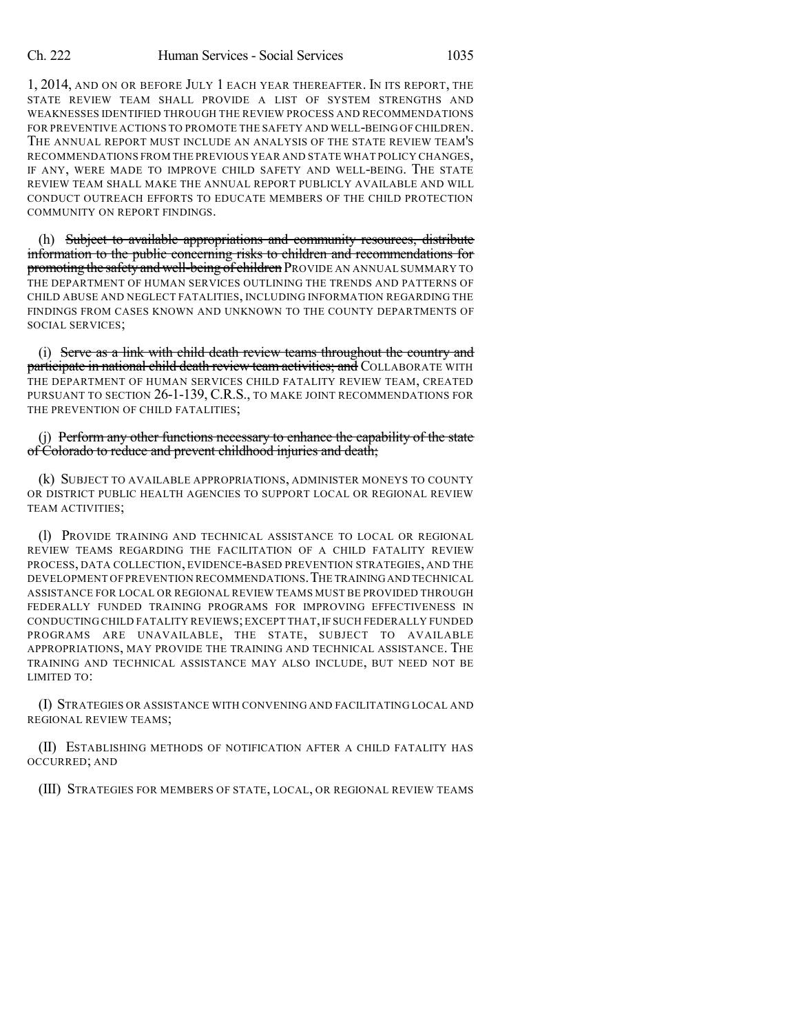1, 2014, AND ON OR BEFORE JULY 1 EACH YEAR THEREAFTER. IN ITS REPORT, THE STATE REVIEW TEAM SHALL PROVIDE A LIST OF SYSTEM STRENGTHS AND WEAKNESSES IDENTIFIED THROUGH THE REVIEW PROCESS AND RECOMMENDATIONS FOR PREVENTIVE ACTIONS TO PROMOTE THE SAFETY AND WELL-BEING OF CHILDREN. THE ANNUAL REPORT MUST INCLUDE AN ANALYSIS OF THE STATE REVIEW TEAM'S RECOMMENDATIONS FROM THE PREVIOUS YEAR AND STATE WHAT POLICY CHANGES, IF ANY, WERE MADE TO IMPROVE CHILD SAFETY AND WELL-BEING. THE STATE REVIEW TEAM SHALL MAKE THE ANNUAL REPORT PUBLICLY AVAILABLE AND WILL CONDUCT OUTREACH EFFORTS TO EDUCATE MEMBERS OF THE CHILD PROTECTION COMMUNITY ON REPORT FINDINGS.

(h) Subject to available appropriations and community resources, distribute information to the public concerning risks to children and recommendations for promoting the safety and well-being of children PROVIDE AN ANNUAL SUMMARY TO THE DEPARTMENT OF HUMAN SERVICES OUTLINING THE TRENDS AND PATTERNS OF CHILD ABUSE AND NEGLECT FATALITIES, INCLUDING INFORMATION REGARDING THE FINDINGS FROM CASES KNOWN AND UNKNOWN TO THE COUNTY DEPARTMENTS OF SOCIAL SERVICES;

(i) Serve as a link with child death review teams throughout the country and participate in national child death review team activities; and COLLABORATE WITH THE DEPARTMENT OF HUMAN SERVICES CHILD FATALITY REVIEW TEAM, CREATED PURSUANT TO SECTION 26-1-139, C.R.S., TO MAKE JOINT RECOMMENDATIONS FOR THE PREVENTION OF CHILD FATALITIES;

(j) Perform any other functions necessary to enhance the capability of the state of Colorado to reduce and prevent childhood injuries and death;

(k) SUBJECT TO AVAILABLE APPROPRIATIONS, ADMINISTER MONEYS TO COUNTY OR DISTRICT PUBLIC HEALTH AGENCIES TO SUPPORT LOCAL OR REGIONAL REVIEW TEAM ACTIVITIES;

(l) PROVIDE TRAINING AND TECHNICAL ASSISTANCE TO LOCAL OR REGIONAL REVIEW TEAMS REGARDING THE FACILITATION OF A CHILD FATALITY REVIEW PROCESS, DATA COLLECTION, EVIDENCE-BASED PREVENTION STRATEGIES, AND THE DEVELOPMENT OF PREVENTION RECOMMENDATIONS.THE TRAININGAND TECHNICAL ASSISTANCE FOR LOCAL OR REGIONAL REVIEW TEAMS MUST BE PROVIDED THROUGH FEDERALLY FUNDED TRAINING PROGRAMS FOR IMPROVING EFFECTIVENESS IN CONDUCTING CHILD FATALITY REVIEWS;EXCEPT THAT,IF SUCH FEDERALLY FUNDED PROGRAMS ARE UNAVAILABLE, THE STATE, SUBJECT TO AVAILABLE APPROPRIATIONS, MAY PROVIDE THE TRAINING AND TECHNICAL ASSISTANCE. THE TRAINING AND TECHNICAL ASSISTANCE MAY ALSO INCLUDE, BUT NEED NOT BE LIMITED TO:

(I) STRATEGIES OR ASSISTANCE WITH CONVENING AND FACILITATING LOCAL AND REGIONAL REVIEW TEAMS;

(II) ESTABLISHING METHODS OF NOTIFICATION AFTER A CHILD FATALITY HAS OCCURRED; AND

(III) STRATEGIES FOR MEMBERS OF STATE, LOCAL, OR REGIONAL REVIEW TEAMS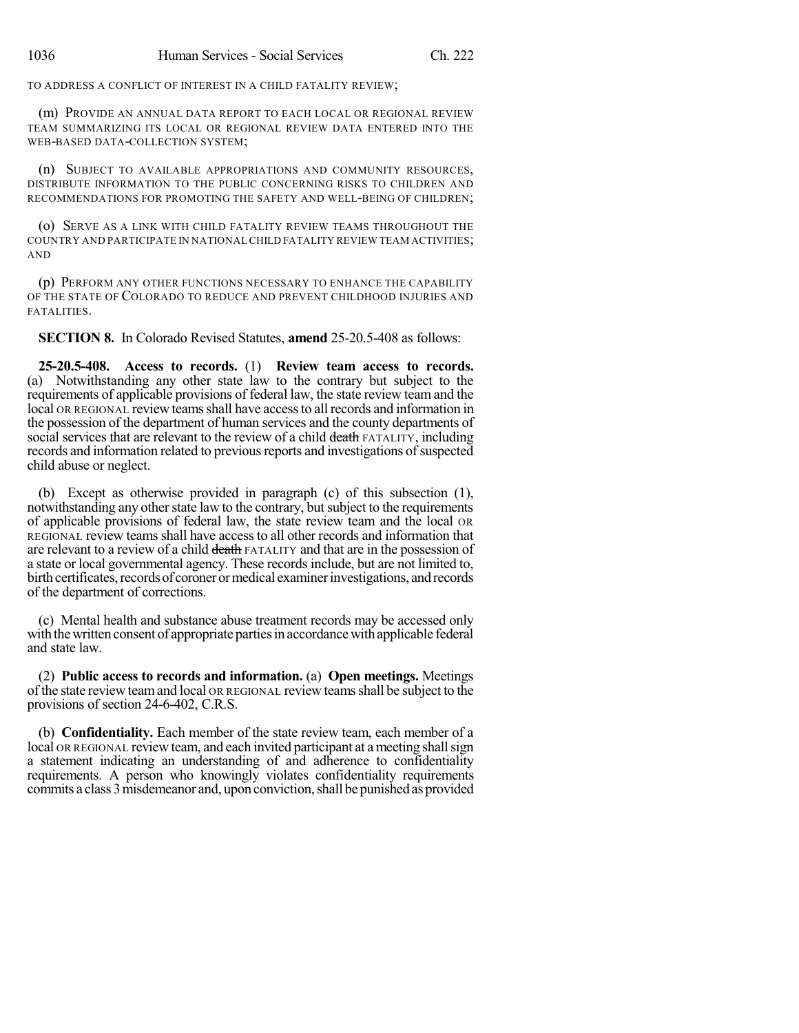TO ADDRESS A CONFLICT OF INTEREST IN A CHILD FATALITY REVIEW;

(m) PROVIDE AN ANNUAL DATA REPORT TO EACH LOCAL OR REGIONAL REVIEW TEAM SUMMARIZING ITS LOCAL OR REGIONAL REVIEW DATA ENTERED INTO THE WEB-BASED DATA-COLLECTION SYSTEM;

(n) SUBJECT TO AVAILABLE APPROPRIATIONS AND COMMUNITY RESOURCES, DISTRIBUTE INFORMATION TO THE PUBLIC CONCERNING RISKS TO CHILDREN AND RECOMMENDATIONS FOR PROMOTING THE SAFETY AND WELL-BEING OF CHILDREN;

(o) SERVE AS A LINK WITH CHILD FATALITY REVIEW TEAMS THROUGHOUT THE COUNTRY AND PARTICIPATE IN NATIONAL CHILD FATALITY REVIEW TEAM ACTIVITIES; AND

(p) PERFORM ANY OTHER FUNCTIONS NECESSARY TO ENHANCE THE CAPABILITY OF THE STATE OF COLORADO TO REDUCE AND PREVENT CHILDHOOD INJURIES AND FATALITIES.

**SECTION 8.** In Colorado Revised Statutes, **amend** 25-20.5-408 as follows:

**25-20.5-408. Access to records.** (1) **Review team access to records.** (a) Notwithstanding any other state law to the contrary but subject to the requirements of applicable provisions of federal law, the state review team and the local OR REGIONAL review teams shall have access to all records and information in the possession of the department of human services and the county departments of social services that are relevant to the review of a child death FATALITY, including records and information related to previous reports and investigations of suspected child abuse or neglect.

(b) Except as otherwise provided in paragraph (c) of this subsection (1), notwithstanding any other state law to the contrary, but subject to the requirements of applicable provisions of federal law, the state review team and the local OR REGIONAL review teams shall have access to all other records and information that are relevant to a review of a child death FATALITY and that are in the possession of a state or local governmental agency. These records include, but are not limited to, birth certificates, records of coroner or medical examiner investigations, and records of the department of corrections.

(c) Mental health and substance abuse treatment records may be accessed only with the written consent of appropriate parties in accordance with applicable federal and state law.

(2) **Public access to records and information.** (a) **Open meetings.** Meetings of the state review teamand local OR REGIONAL review teamsshall be subject to the provisions of section 24-6-402, C.R.S.

(b) **Confidentiality.** Each member of the state review team, each member of a local OR REGIONAL review team, and each invited participant at a meeting shall sign a statement indicating an understanding of and adherence to confidentiality requirements. A person who knowingly violates confidentiality requirements commits a class 3 misdemeanor and, upon conviction, shall be punished as provided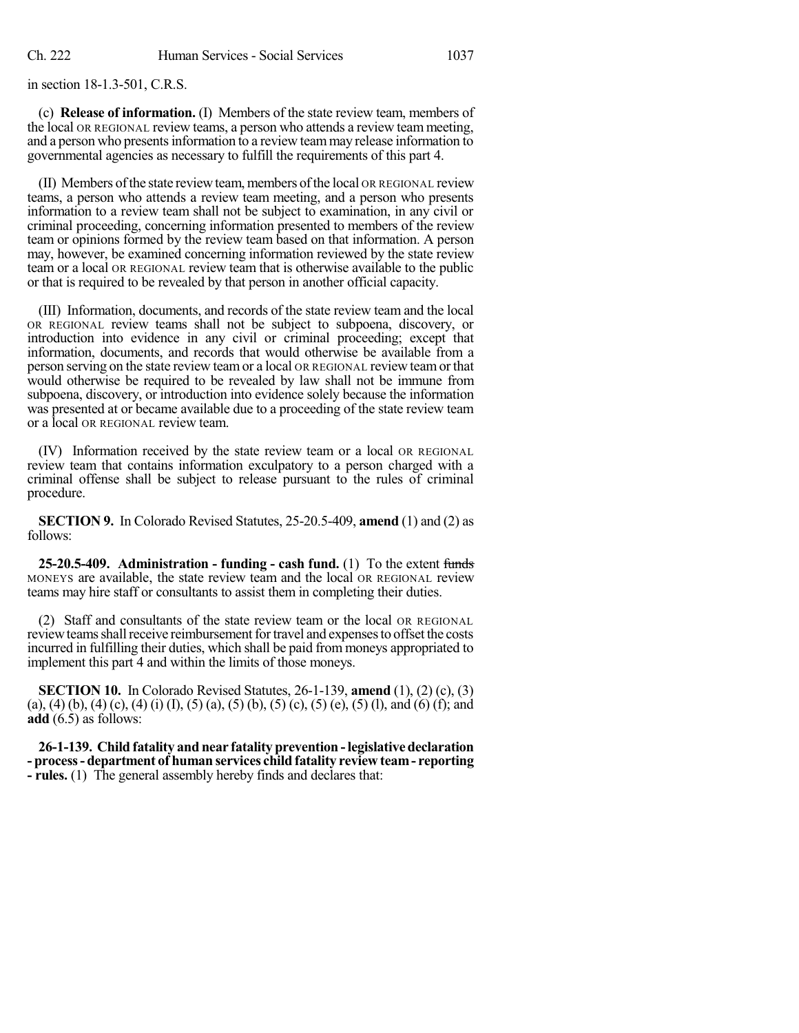in section 18-1.3-501, C.R.S.

(c) **Release of information.** (I) Members of the state review team, members of the local OR REGIONAL review teams, a person who attends a review team meeting, and a person who presentsinformation to a review teammay release information to governmental agencies as necessary to fulfill the requirements of this part 4.

(II) Members ofthe state reviewteam,members ofthe local OR REGIONAL review teams, a person who attends a review team meeting, and a person who presents information to a review team shall not be subject to examination, in any civil or criminal proceeding, concerning information presented to members of the review team or opinions formed by the review team based on that information. A person may, however, be examined concerning information reviewed by the state review team or a local OR REGIONAL review team that is otherwise available to the public or that is required to be revealed by that person in another official capacity.

(III) Information, documents, and records of the state review team and the local OR REGIONAL review teams shall not be subject to subpoena, discovery, or introduction into evidence in any civil or criminal proceeding; except that information, documents, and records that would otherwise be available from a person serving on the state review teamor a local OR REGIONAL review teamor that would otherwise be required to be revealed by law shall not be immune from subpoena, discovery, or introduction into evidence solely because the information was presented at or became available due to a proceeding of the state review team or a local OR REGIONAL review team.

(IV) Information received by the state review team or a local OR REGIONAL review team that contains information exculpatory to a person charged with a criminal offense shall be subject to release pursuant to the rules of criminal procedure.

**SECTION 9.** In Colorado Revised Statutes, 25-20.5-409, **amend** (1) and (2) as follows:

**25-20.5-409. Administration - funding - cash fund.** (1) To the extent funds MONEYS are available, the state review team and the local OR REGIONAL review teams may hire staff or consultants to assist them in completing their duties.

(2) Staff and consultants of the state review team or the local OR REGIONAL review teams shall receive reimbursement for travel and expenses to offset the costs incurred in fulfilling their duties, which shall be paid from moneys appropriated to implement this part 4 and within the limits of those moneys.

**SECTION 10.** In Colorado Revised Statutes, 26-1-139, **amend** (1), (2) (c), (3) (a), (4) (b), (4) (c), (4) (i) (I), (5) (a), (5) (b), (5) (c), (5) (e), (5) (l), and (6) (f); and **add** (6.5) as follows:

**26-1-139. Child fatality and near fatality prevention -legislative declaration - process- department of human services child fatality review team- reporting - rules.** (1) The general assembly hereby finds and declares that: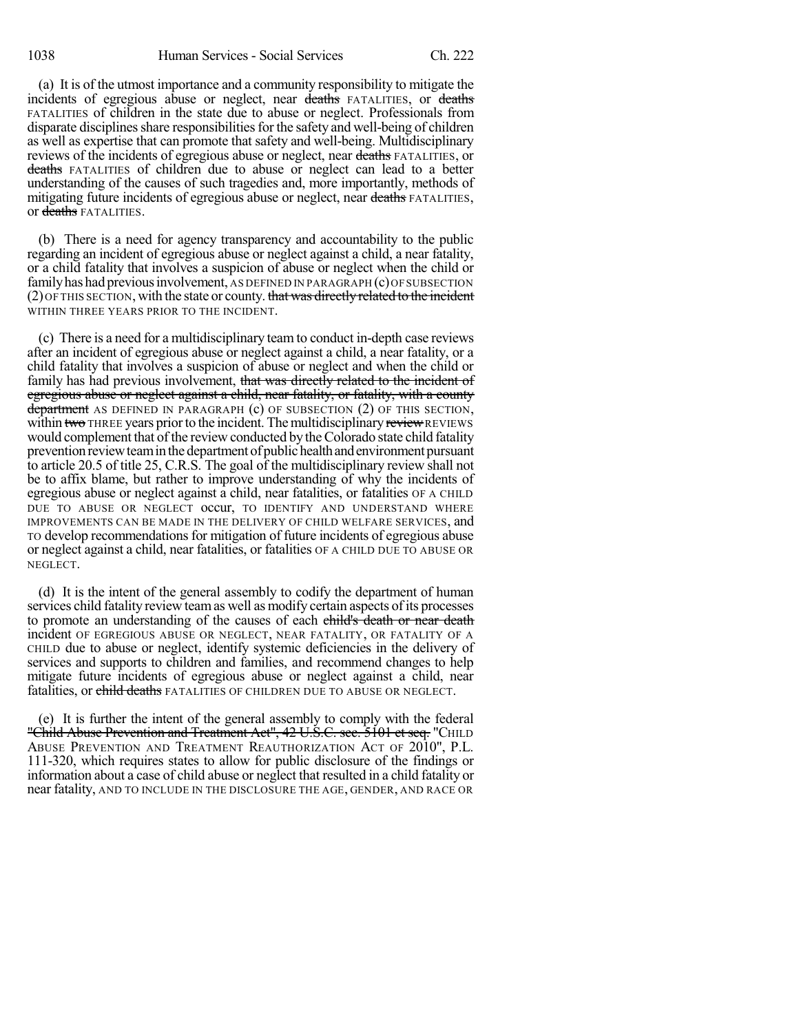(a) It is of the utmost importance and a community responsibility to mitigate the incidents of egregious abuse or neglect, near deaths FATALITIES, or deaths FATALITIES of children in the state due to abuse or neglect. Professionals from disparate disciplines share responsibilities for the safety and well-being of children as well as expertise that can promote that safety and well-being. Multidisciplinary reviews of the incidents of egregious abuse or neglect, near deaths FATALITIES, or deaths FATALITIES of children due to abuse or neglect can lead to a better understanding of the causes of such tragedies and, more importantly, methods of mitigating future incidents of egregious abuse or neglect, near deaths FATALITIES, or deaths FATALITIES.

(b) There is a need for agency transparency and accountability to the public regarding an incident of egregious abuse or neglect against a child, a near fatality, or a child fatality that involves a suspicion of abuse or neglect when the child or family has had previous involvement, AS DEFINED IN PARAGRAPH (c) OF SUBSECTION  $(2)$  OF THIS SECTION, with the state or county. that was directly related to the incident WITHIN THREE YEARS PRIOR TO THE INCIDENT.

(c) There is a need for a multidisciplinary team to conduct in-depth case reviews after an incident of egregious abuse or neglect against a child, a near fatality, or a child fatality that involves a suspicion of abuse or neglect and when the child or family has had previous involvement, that was directly related to the incident of egregious abuse or neglect against a child, near fatality, or fatality, with a county department AS DEFINED IN PARAGRAPH (c) OF SUBSECTION (2) OF THIS SECTION, within two THREE years prior to the incident. The multidisciplinary review REVIEWS would complement that of the review conducted by the Colorado state child fatality prevention review team in the department of public health and environment pursuant to article 20.5 of title 25, C.R.S. The goal of the multidisciplinary review shall not be to affix blame, but rather to improve understanding of why the incidents of egregious abuse or neglect against a child, near fatalities, or fatalities OF A CHILD DUE TO ABUSE OR NEGLECT OCCUI, TO IDENTIFY AND UNDERSTAND WHERE IMPROVEMENTS CAN BE MADE IN THE DELIVERY OF CHILD WELFARE SERVICES, and TO develop recommendations for mitigation of future incidents of egregious abuse or neglect against a child, near fatalities, or fatalities OF A CHILD DUE TO ABUSE OR NEGLECT.

(d) It is the intent of the general assembly to codify the department of human services child fatality review teamas well as modify certain aspects of its processes to promote an understanding of the causes of each child's death or near death incident OF EGREGIOUS ABUSE OR NEGLECT, NEAR FATALITY, OR FATALITY OF A CHILD due to abuse or neglect, identify systemic deficiencies in the delivery of services and supports to children and families, and recommend changes to help mitigate future incidents of egregious abuse or neglect against a child, near fatalities, or child deaths FATALITIES OF CHILDREN DUE TO ABUSE OR NEGLECT.

(e) It is further the intent of the general assembly to comply with the federal "Child Abuse Prevention and Treatment Act", 42 U.S.C. sec. 5101 et seq. "CHILD ABUSE PREVENTION AND TREATMENT REAUTHORIZATION ACT OF 2010", P.L. 111-320, which requires states to allow for public disclosure of the findings or information about a case of child abuse or neglect that resulted in a child fatality or near fatality, AND TO INCLUDE IN THE DISCLOSURE THE AGE, GENDER, AND RACE OR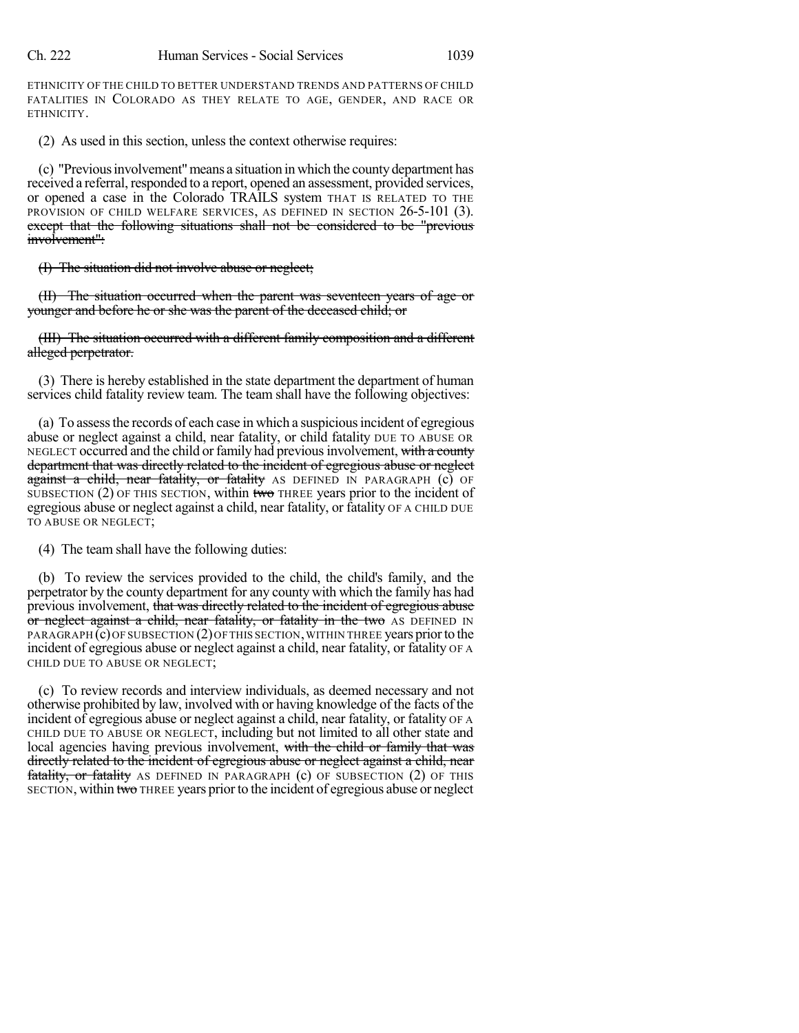ETHNICITY OF THE CHILD TO BETTER UNDERSTAND TRENDS AND PATTERNS OF CHILD FATALITIES IN COLORADO AS THEY RELATE TO AGE, GENDER, AND RACE OR ETHNICITY.

(2) As used in this section, unless the context otherwise requires:

(c) "Previousinvolvement"means a situation in which the countydepartment has received a referral, responded to a report, opened an assessment, provided services, or opened a case in the Colorado TRAILS system THAT IS RELATED TO THE PROVISION OF CHILD WELFARE SERVICES, AS DEFINED IN SECTION 26-5-101 (3). except that the following situations shall not be considered to be "previous involvement":

(I) The situation did not involve abuse or neglect;

(II) The situation occurred when the parent was seventeen years of age or younger and before he or she was the parent of the deceased child; or

(III) The situation occurred with a different family composition and a different alleged perpetrator.

(3) There is hereby established in the state department the department of human services child fatality review team. The team shall have the following objectives:

(a) To assessthe records of each case in which a suspiciousincident of egregious abuse or neglect against a child, near fatality, or child fatality DUE TO ABUSE OR NEGLECT occurred and the child or family had previous involvement, with a county department that was directly related to the incident of egregious abuse or neglect against a child, near fatality, or fatality AS DEFINED IN PARAGRAPH (c) OF SUBSECTION  $(2)$  OF THIS SECTION, within two THREE years prior to the incident of egregious abuse or neglect against a child, near fatality, or fatality OF A CHILD DUE TO ABUSE OR NEGLECT;

(4) The team shall have the following duties:

(b) To review the services provided to the child, the child's family, and the perpetrator by the county department for any county with which the family has had previous involvement, that was directly related to the incident of egregious abuse or neglect against a child, near fatality, or fatality in the two AS DEFINED IN PARAGRAPH (c) OF SUBSECTION (2) OF THIS SECTION, WITHIN THREE years prior to the incident of egregious abuse or neglect against a child, near fatality, or fatality OF A CHILD DUE TO ABUSE OR NEGLECT;

(c) To review records and interview individuals, as deemed necessary and not otherwise prohibited by law, involved with or having knowledge of the facts of the incident of egregious abuse or neglect against a child, near fatality, or fatality OF A CHILD DUE TO ABUSE OR NEGLECT, including but not limited to all other state and local agencies having previous involvement, with the child or family that was directly related to the incident of egregious abuse or neglect against a child, near fatality, or fatality AS DEFINED IN PARAGRAPH  $(c)$  OF SUBSECTION  $(2)$  OF THIS SECTION, within two THREE years prior to the incident of egregious abuse or neglect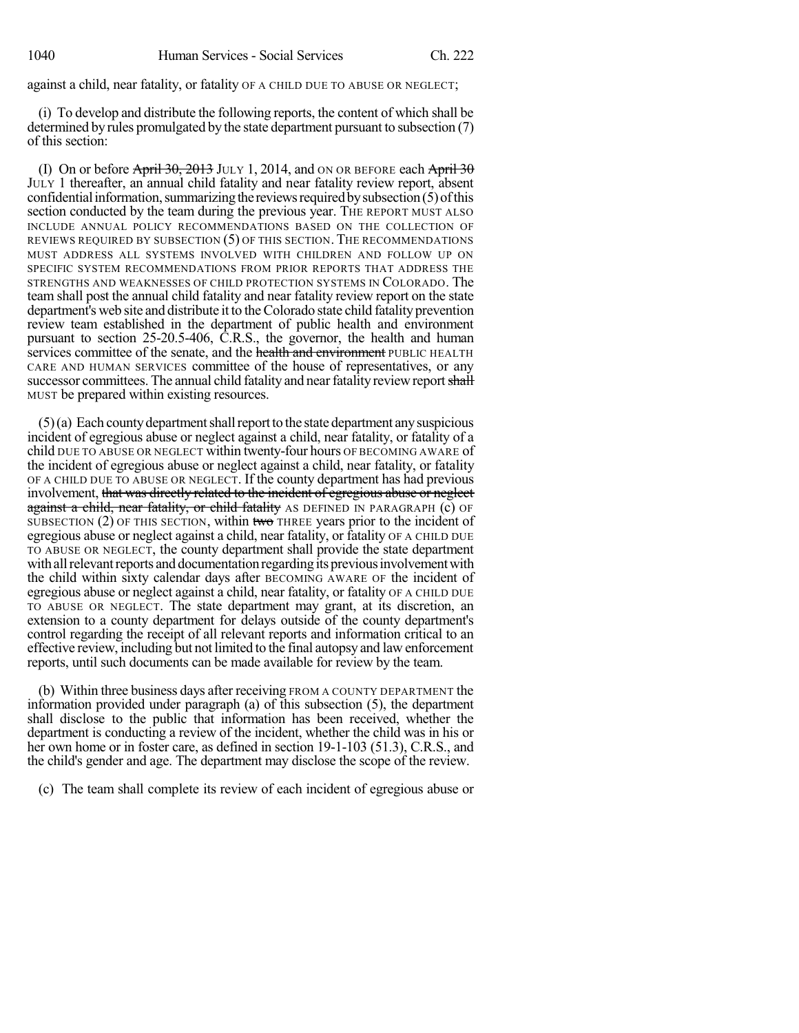against a child, near fatality, or fatality OF A CHILD DUE TO ABUSE OR NEGLECT;

(i) To develop and distribute the following reports, the content of which shall be determined by rules promulgated by the state department pursuant to subsection (7) of this section:

(I) On or before  $\overrightarrow{April 30, 2013}$  JULY 1, 2014, and ON OR BEFORE each  $\overrightarrow{April 30}$ JULY 1 thereafter, an annual child fatality and near fatality review report, absent confidential information, summarizing the reviews required by subsection (5) of this section conducted by the team during the previous year. THE REPORT MUST ALSO INCLUDE ANNUAL POLICY RECOMMENDATIONS BASED ON THE COLLECTION OF REVIEWS REQUIRED BY SUBSECTION (5) OF THIS SECTION. THE RECOMMENDATIONS MUST ADDRESS ALL SYSTEMS INVOLVED WITH CHILDREN AND FOLLOW UP ON SPECIFIC SYSTEM RECOMMENDATIONS FROM PRIOR REPORTS THAT ADDRESS THE STRENGTHS AND WEAKNESSES OF CHILD PROTECTION SYSTEMS IN COLORADO. The team shall post the annual child fatality and near fatality review report on the state department's web site and distribute it to theColorado state child fatality prevention review team established in the department of public health and environment pursuant to section 25-20.5-406, C.R.S., the governor, the health and human services committee of the senate, and the health and environment PUBLIC HEALTH CARE AND HUMAN SERVICES committee of the house of representatives, or any successor committees. The annual child fatality and near fatality review report shall MUST be prepared within existing resources.

 $(5)$ (a) Each county department shall report to the state department any suspicious incident of egregious abuse or neglect against a child, near fatality, or fatality of a child DUE TO ABUSE OR NEGLECT within twenty-four hours OF BECOMING AWARE of the incident of egregious abuse or neglect against a child, near fatality, or fatality OF A CHILD DUE TO ABUSE OR NEGLECT. If the county department has had previous involvement, that was directly related to the incident of egregious abuse or neglect against a child, near fatality, or child fatality AS DEFINED IN PARAGRAPH (c) OF SUBSECTION  $(2)$  OF THIS SECTION, within two THREE years prior to the incident of egregious abuse or neglect against a child, near fatality, or fatality OF A CHILD DUE TO ABUSE OR NEGLECT, the county department shall provide the state department with all relevant reports and documentation regarding its previous involvement with the child within sixty calendar days after BECOMING AWARE OF the incident of egregious abuse or neglect against a child, near fatality, or fatality OF A CHILD DUE TO ABUSE OR NEGLECT. The state department may grant, at its discretion, an extension to a county department for delays outside of the county department's control regarding the receipt of all relevant reports and information critical to an effective review, including but not limited to the final autopsy and law enforcement reports, until such documents can be made available for review by the team.

(b) Within three business days after receiving FROM A COUNTY DEPARTMENT the information provided under paragraph (a) of this subsection (5), the department shall disclose to the public that information has been received, whether the department is conducting a review of the incident, whether the child was in his or her own home or in foster care, as defined in section 19-1-103 (51.3), C.R.S., and the child's gender and age. The department may disclose the scope of the review.

(c) The team shall complete its review of each incident of egregious abuse or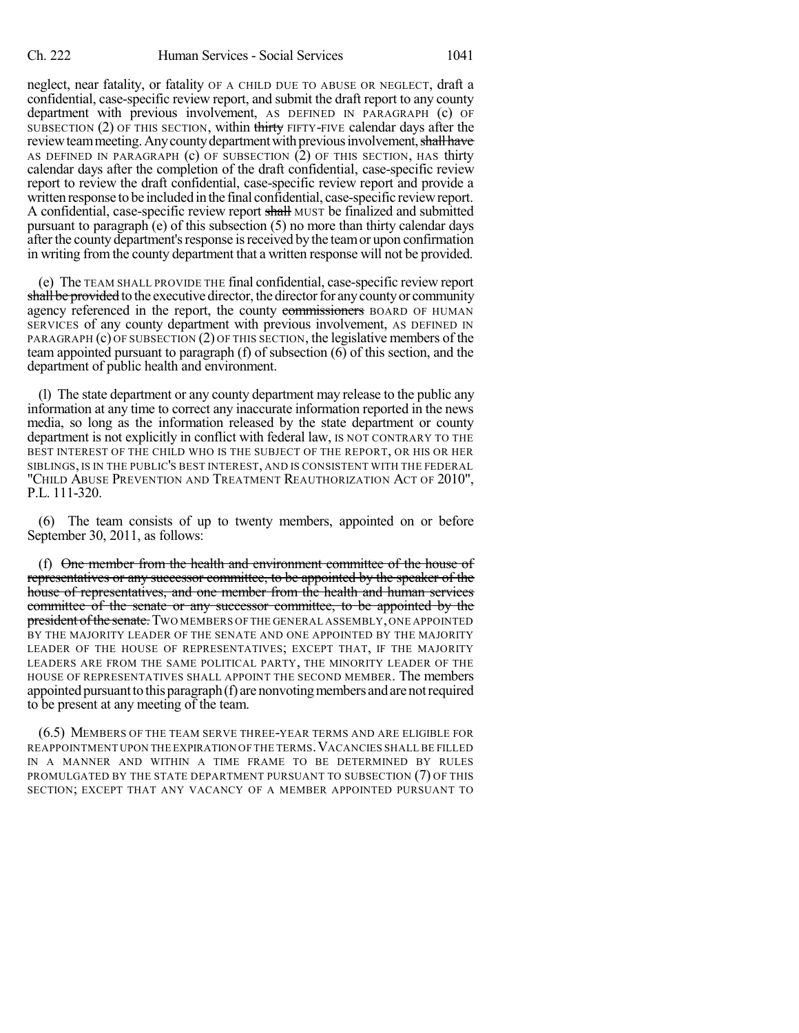neglect, near fatality, or fatality OF A CHILD DUE TO ABUSE OR NEGLECT, draft a confidential, case-specific review report, and submit the draft report to any county department with previous involvement, AS DEFINED IN PARAGRAPH (c) OF SUBSECTION (2) OF THIS SECTION, within thirty FIFTY-FIVE calendar days after the review team meeting. Any county department with previous involvement, shall have AS DEFINED IN PARAGRAPH  $(c)$  OF SUBSECTION  $(2)$  OF THIS SECTION, HAS thirty calendar days after the completion of the draft confidential, case-specific review report to review the draft confidential, case-specific review report and provide a written response to be included in the final confidential, case-specific reviewreport. A confidential, case-specific review report shall MUST be finalized and submitted pursuant to paragraph (e) of this subsection (5) no more than thirty calendar days after the county department's response is received by the team or upon confirmation in writing from the county department that a written response will not be provided.

(e) The TEAM SHALL PROVIDE THE final confidential, case-specific review report shall be provided to the executive director, the director for any county or community agency referenced in the report, the county commissioners BOARD OF HUMAN SERVICES of any county department with previous involvement, AS DEFINED IN PARAGRAPH (c) OF SUBSECTION (2) OF THIS SECTION, the legislative members of the team appointed pursuant to paragraph (f) of subsection  $(6)$  of this section, and the department of public health and environment.

(l) The state department or any county department may release to the public any information at any time to correct any inaccurate information reported in the news media, so long as the information released by the state department or county department is not explicitly in conflict with federal law, IS NOT CONTRARY TO THE BEST INTEREST OF THE CHILD WHO IS THE SUBJECT OF THE REPORT, OR HIS OR HER SIBLINGS, IS IN THE PUBLIC'S BEST INTEREST, AND IS CONSISTENT WITH THE FEDERAL "CHILD ABUSE PREVENTION AND TREATMENT REAUTHORIZATION ACT OF 2010", P.L. 111-320.

(6) The team consists of up to twenty members, appointed on or before September 30, 2011, as follows:

(f) One member from the health and environment committee of the house of representatives or any successor committee, to be appointed by the speaker of the house of representatives, and one member from the health and human services committee of the senate or any successor committee, to be appointed by the president of the senate. Two MEMBERS OF THE GENERAL ASSEMBLY, ONE APPOINTED BY THE MAJORITY LEADER OF THE SENATE AND ONE APPOINTED BY THE MAJORITY LEADER OF THE HOUSE OF REPRESENTATIVES; EXCEPT THAT, IF THE MAJORITY LEADERS ARE FROM THE SAME POLITICAL PARTY, THE MINORITY LEADER OF THE HOUSE OF REPRESENTATIVES SHALL APPOINT THE SECOND MEMBER. The members appointed pursuant to this paragraph  $(f)$  are nonvoting members and are not required to be present at any meeting of the team.

(6.5) MEMBERS OF THE TEAM SERVE THREE-YEAR TERMS AND ARE ELIGIBLE FOR REAPPOINTMENT UPON THE EXPIRATION OF THE TERMS.VACANCIES SHALL BE FILLED IN A MANNER AND WITHIN A TIME FRAME TO BE DETERMINED BY RULES PROMULGATED BY THE STATE DEPARTMENT PURSUANT TO SUBSECTION (7) OF THIS SECTION; EXCEPT THAT ANY VACANCY OF A MEMBER APPOINTED PURSUANT TO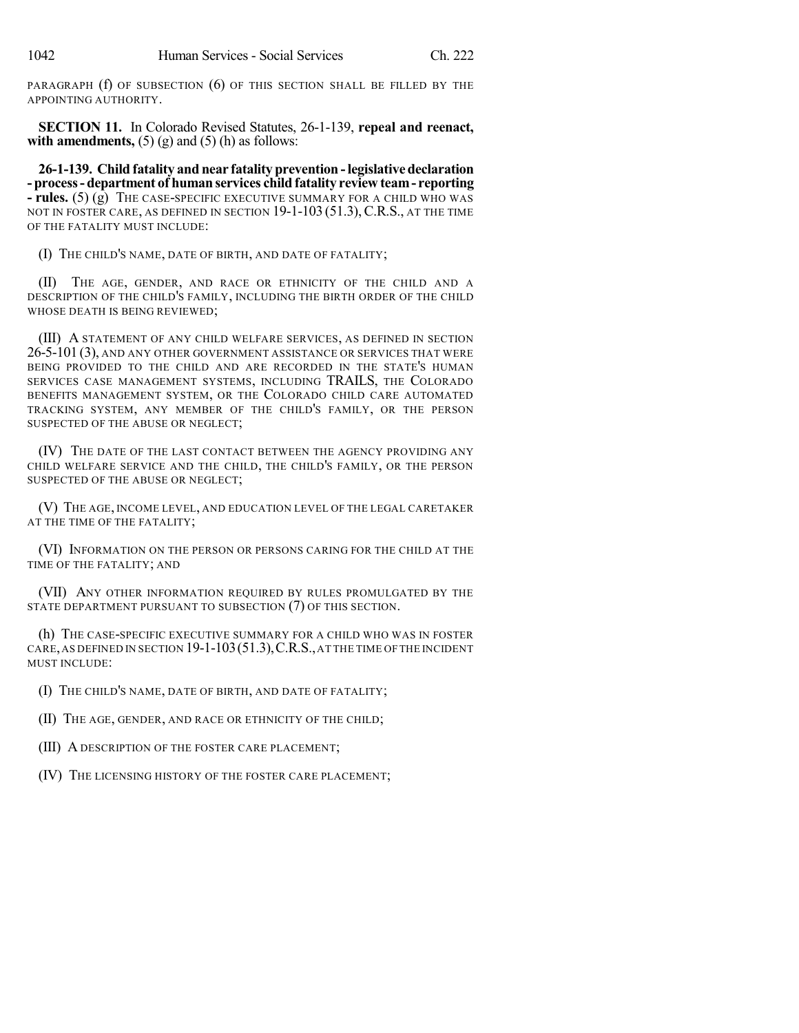PARAGRAPH (f) OF SUBSECTION (6) OF THIS SECTION SHALL BE FILLED BY THE APPOINTING AUTHORITY.

**SECTION 11.** In Colorado Revised Statutes, 26-1-139, **repeal and reenact, with amendments,**  $(5)$   $(g)$  and  $(5)$   $(h)$  as follows:

**26-1-139. Child fatality and near fatality prevention -legislative declaration - process- department of human services child fatality review team- reporting - rules.** (5) (g) THE CASE-SPECIFIC EXECUTIVE SUMMARY FOR A CHILD WHO WAS NOT IN FOSTER CARE, AS DEFINED IN SECTION 19-1-103 (51.3), C.R.S., AT THE TIME OF THE FATALITY MUST INCLUDE:

(I) THE CHILD'S NAME, DATE OF BIRTH, AND DATE OF FATALITY;

(II) THE AGE, GENDER, AND RACE OR ETHNICITY OF THE CHILD AND A DESCRIPTION OF THE CHILD'S FAMILY, INCLUDING THE BIRTH ORDER OF THE CHILD WHOSE DEATH IS BEING REVIEWED;

(III) A STATEMENT OF ANY CHILD WELFARE SERVICES, AS DEFINED IN SECTION 26-5-101 (3), AND ANY OTHER GOVERNMENT ASSISTANCE OR SERVICES THAT WERE BEING PROVIDED TO THE CHILD AND ARE RECORDED IN THE STATE'S HUMAN SERVICES CASE MANAGEMENT SYSTEMS, INCLUDING TRAILS, THE COLORADO BENEFITS MANAGEMENT SYSTEM, OR THE COLORADO CHILD CARE AUTOMATED TRACKING SYSTEM, ANY MEMBER OF THE CHILD'S FAMILY, OR THE PERSON SUSPECTED OF THE ABUSE OR NEGLECT;

(IV) THE DATE OF THE LAST CONTACT BETWEEN THE AGENCY PROVIDING ANY CHILD WELFARE SERVICE AND THE CHILD, THE CHILD'S FAMILY, OR THE PERSON SUSPECTED OF THE ABUSE OR NEGLECT;

(V) THE AGE, INCOME LEVEL, AND EDUCATION LEVEL OF THE LEGAL CARETAKER AT THE TIME OF THE FATALITY;

(VI) INFORMATION ON THE PERSON OR PERSONS CARING FOR THE CHILD AT THE TIME OF THE FATALITY; AND

(VII) ANY OTHER INFORMATION REQUIRED BY RULES PROMULGATED BY THE STATE DEPARTMENT PURSUANT TO SUBSECTION (7) OF THIS SECTION.

(h) THE CASE-SPECIFIC EXECUTIVE SUMMARY FOR A CHILD WHO WAS IN FOSTER CARE,AS DEFINED IN SECTION 19-1-103(51.3),C.R.S.,AT THE TIME OF THE INCIDENT MUST INCLUDE:

(I) THE CHILD'S NAME, DATE OF BIRTH, AND DATE OF FATALITY;

(II) THE AGE, GENDER, AND RACE OR ETHNICITY OF THE CHILD;

(III) A DESCRIPTION OF THE FOSTER CARE PLACEMENT;

(IV) THE LICENSING HISTORY OF THE FOSTER CARE PLACEMENT;